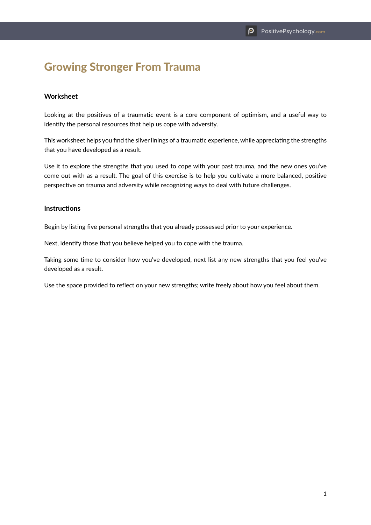## Growing Stronger From Trauma

## **Worksheet**

Looking at the positives of a traumatic event is a core component of optimism, and a useful way to identify the personal resources that help us cope with adversity.

This worksheet helps you find the silver linings of a traumatic experience, while appreciating the strengths that you have developed as a result.

Use it to explore the strengths that you used to cope with your past trauma, and the new ones you've come out with as a result. The goal of this exercise is to help you cultivate a more balanced, positive perspective on trauma and adversity while recognizing ways to deal with future challenges.

## **Instructions**

Begin by listing five personal strengths that you already possessed prior to your experience.

Next, identify those that you believe helped you to cope with the trauma.

Taking some time to consider how you've developed, next list any new strengths that you feel you've developed as a result.

Use the space provided to reflect on your new strengths; write freely about how you feel about them.